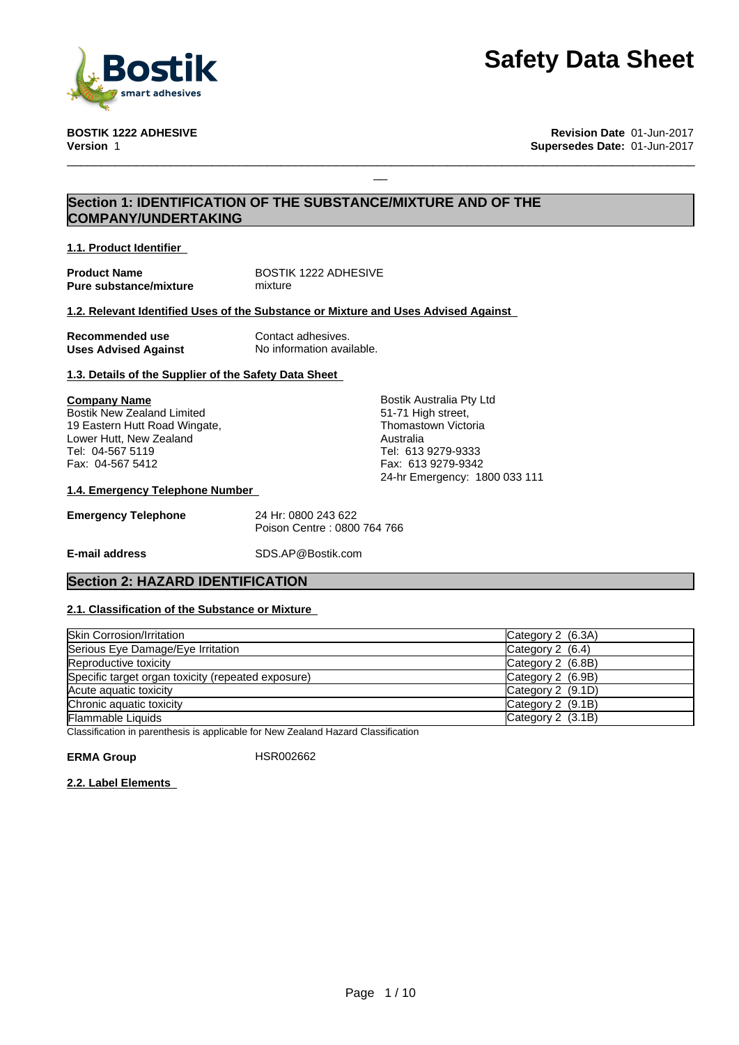

**BOSTIK 1222 ADHESIVE Revision Date** 01-Jun-2017 **Version** 1 **Supersedes Date:** 01-Jun-2017

# **Section 1: IDENTIFICATION OF THE SUBSTANCE/MIXTURE AND OF THE COMPANY/UNDERTAKING**

**1.1. Product Identifier**

**Product Name**<br> **Pure substance/mixture**<br> **Pure substance/mixture**<br> **All mixture Pure substance/mixture** 

### **1.2. Relevant Identified Uses of the Substance or Mixture and Uses Advised Against**

| Recommended use             | Contact adhesives.        |
|-----------------------------|---------------------------|
| <b>Uses Advised Against</b> | No information available. |

# **1.3. Details of the Supplier of the Safety Data Sheet**

### **Company Name** Bostik New Zealand Limited 19 Eastern Hutt Road Wingate, Lower Hutt, New Zealand

Tel: 04-567 5119 Fax: 04-567 5412 Bostik Australia Pty Ltd 51-71 High street, Thomastown Victoria Australia Tel: 613 9279-9333 Fax: 613 9279-9342 24-hr Emergency: 1800 033 111

 $\Box$ 

### **1.4. Emergency Telephone Number**

| <b>Emergency Telephone</b> | 24 Hr: 0800 243 622         |
|----------------------------|-----------------------------|
|                            | Poison Centre: 0800 764 766 |

**E-mail address** SDS.AP@Bostik.com

# **Section 2: HAZARD IDENTIFICATION**

# **2.1. Classification of the Substance or Mixture**

| Skin Corrosion/Irritation                          | Category 2 (6.3A)   |
|----------------------------------------------------|---------------------|
| Serious Eye Damage/Eye Irritation                  | Category $2$ (6.4)  |
| Reproductive toxicity                              | Category $2$ (6.8B) |
| Specific target organ toxicity (repeated exposure) | Category $2$ (6.9B) |
| Acute aquatic toxicity                             | Category 2 (9.1D)   |
| Chronic aquatic toxicity                           | Category $2$ (9.1B) |
| Flammable Liquids                                  | Category $2$ (3.1B) |

Classification in parenthesis is applicable for New Zealand Hazard Classification

ERMA Group **HSR002662** 

**2.2. Label Elements**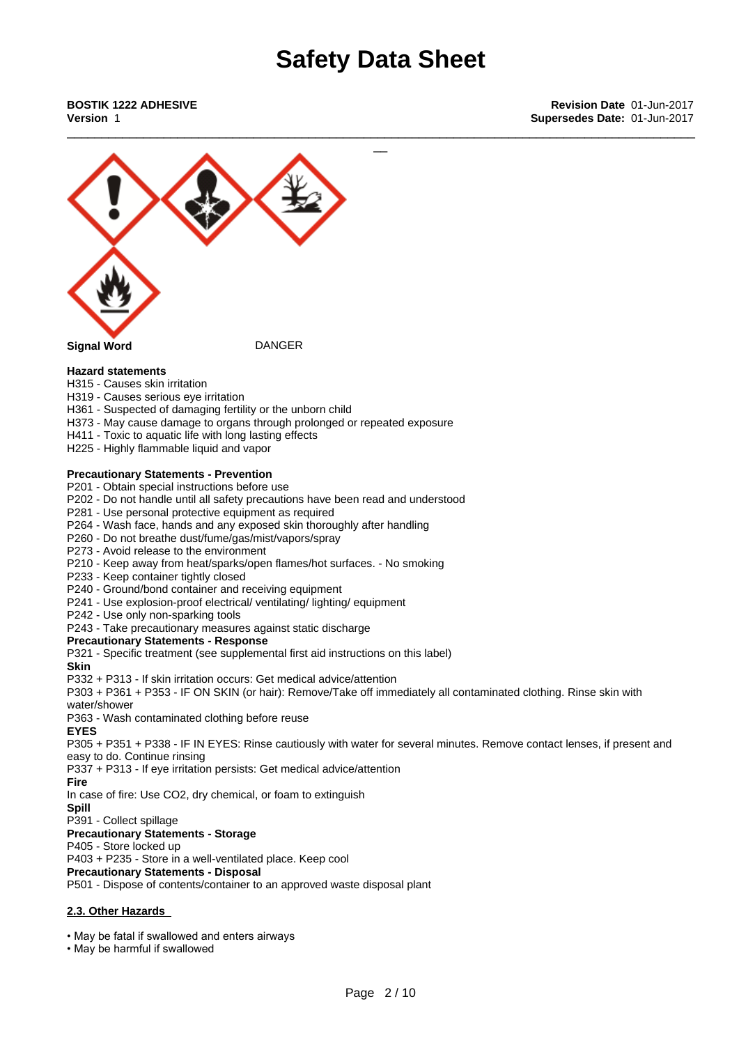\_\_\_\_\_\_\_\_\_\_\_\_\_\_\_\_\_\_\_\_\_\_\_\_\_\_\_\_\_\_\_\_\_\_\_\_\_\_\_\_\_\_\_\_\_\_\_\_\_\_\_\_\_\_\_\_\_\_\_\_\_\_\_\_\_\_\_\_\_\_\_\_\_\_\_\_\_\_\_\_\_\_\_\_\_\_\_\_\_\_\_



### **Hazard statements**

- H315 Causes skin irritation
- H319 Causes serious eye irritation
- H361 Suspected of damaging fertility or the unborn child
- H373 May cause damage to organs through prolonged or repeated exposure
- H411 Toxic to aquatic life with long lasting effects
- H225 Highly flammable liquid and vapor

### **Precautionary Statements - Prevention**

P201 - Obtain special instructions before use

- P202 Do not handle until all safety precautions have been read and understood
- P281 Use personal protective equipment as required
- P264 Wash face, hands and any exposed skin thoroughly after handling
- P260 Do not breathe dust/fume/gas/mist/vapors/spray
- P273 Avoid release to the environment
- P210 Keep away from heat/sparks/open flames/hot surfaces. No smoking
- P233 Keep container tightly closed
- P240 Ground/bond container and receiving equipment
- P241 Use explosion-proof electrical/ ventilating/ lighting/ equipment
- P242 Use only non-sparking tools

P243 - Take precautionary measures against static discharge

### **Precautionary Statements - Response**

P321 - Specific treatment (see supplemental first aid instructions on this label)

### **Skin**

P332 + P313 - If skin irritation occurs: Get medical advice/attention

P303 + P361 + P353 - IF ON SKIN (or hair): Remove/Take off immediately all contaminated clothing. Rinse skin with water/shower

P363 - Wash contaminated clothing before reuse

### **EYES**

P305 + P351 + P338 - IF IN EYES: Rinse cautiously with water for several minutes. Remove contact lenses, if present and easy to do. Continue rinsing

P337 + P313 - If eye irritation persists: Get medical advice/attention

### **Fire**

In case of fire: Use CO2, dry chemical, or foam to extinguish

**Spill** P391 - Collect spillage

# **Precautionary Statements - Storage**

### P405 - Store locked up

P403 + P235 - Store in a well-ventilated place. Keep cool

### **Precautionary Statements - Disposal**

P501 - Dispose of contents/container to an approved waste disposal plant

### **2.3. Other Hazards**

• May be fatal if swallowed and enters airways

• May be harmful if swallowed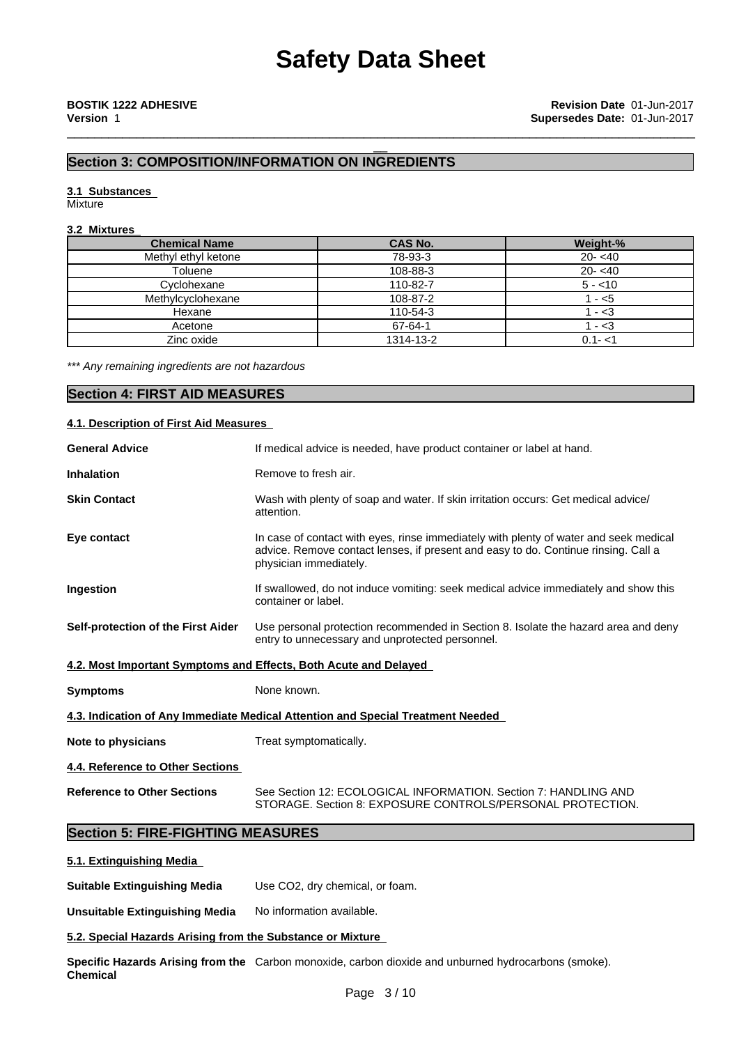\_\_\_\_\_\_\_\_\_\_\_\_\_\_\_\_\_\_\_\_\_\_\_\_\_\_\_\_\_\_\_\_\_\_\_\_\_\_\_\_\_\_\_\_\_\_\_\_\_\_\_\_\_\_\_\_\_\_\_\_\_\_\_\_\_\_\_\_\_\_\_\_\_\_\_\_\_\_\_\_\_\_\_\_\_\_\_\_\_\_\_

# **Section 3: COMPOSITION/INFORMATION ON INGREDIENTS**

# **3.1 Substances**

Mixture

# **3.2 Mixtures**

| <b>Chemical Name</b> | <b>CAS No.</b> | Weight-%   |
|----------------------|----------------|------------|
| Methyl ethyl ketone  | 78-93-3        | $20 - 40$  |
| Toluene              | 108-88-3       | $20 - 540$ |
| Cyclohexane          | 110-82-7       | $5 - 10$   |
| Methylcyclohexane    | 108-87-2       | - <5       |
| Hexane               | 110-54-3       | - 3        |
| Acetone              | 67-64-1        | - <3       |
| Zinc oxide           | 1314-13-2      | $0.1 - 1$  |

*\*\*\* Any remaining ingredients are not hazardous*

# **Section 4: FIRST AID MEASURES**

### **4.1. Description of First Aid Measures**

| <b>General Advice</b>                                            | If medical advice is needed, have product container or label at hand.                                                                                                                                 |
|------------------------------------------------------------------|-------------------------------------------------------------------------------------------------------------------------------------------------------------------------------------------------------|
| <b>Inhalation</b>                                                | Remove to fresh air.                                                                                                                                                                                  |
| <b>Skin Contact</b>                                              | Wash with plenty of soap and water. If skin irritation occurs: Get medical advice/<br>attention.                                                                                                      |
| Eye contact                                                      | In case of contact with eyes, rinse immediately with plenty of water and seek medical<br>advice. Remove contact lenses, if present and easy to do. Continue rinsing. Call a<br>physician immediately. |
| Ingestion                                                        | If swallowed, do not induce vomiting: seek medical advice immediately and show this<br>container or label.                                                                                            |
| Self-protection of the First Aider                               | Use personal protection recommended in Section 8. Isolate the hazard area and deny<br>entry to unnecessary and unprotected personnel.                                                                 |
| 4.2. Most Important Symptoms and Effects, Both Acute and Delayed |                                                                                                                                                                                                       |
| <b>Symptoms</b>                                                  | None known.                                                                                                                                                                                           |
|                                                                  | 4.3. Indication of Any Immediate Medical Attention and Special Treatment Needed                                                                                                                       |
| Note to physicians                                               | Treat symptomatically.                                                                                                                                                                                |
|                                                                  |                                                                                                                                                                                                       |

**4.4. Reference to Other Sections**

**Reference to Other Sections** See Section 12:ECOLOGICAL INFORMATION. Section 7: HANDLING AND STORAGE. Section 8: EXPOSURE CONTROLS/PERSONAL PROTECTION.

# **Section 5: FIRE-FIGHTING MEASURES**

**5.1. Extinguishing Media**

**Suitable Extinguishing Media** Use CO2, dry chemical, or foam.

**Unsuitable Extinguishing Media** No information available.

### **5.2. Special Hazards Arising from the Substance or Mixture**

**Specific Hazards Arising from the** Carbon monoxide, carbon dioxide and unburned hydrocarbons (smoke). **Chemical**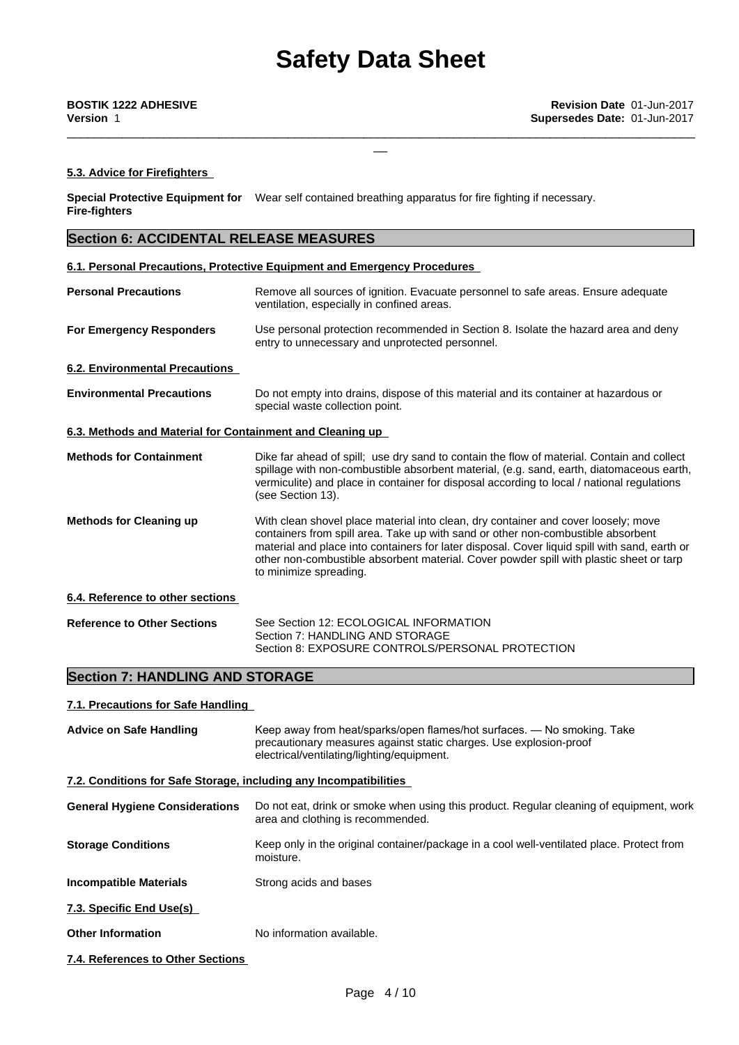\_\_\_\_\_\_\_\_\_\_\_\_\_\_\_\_\_\_\_\_\_\_\_\_\_\_\_\_\_\_\_\_\_\_\_\_\_\_\_\_\_\_\_\_\_\_\_\_\_\_\_\_\_\_\_\_\_\_\_\_\_\_\_\_\_\_\_\_\_\_\_\_\_\_\_\_\_\_\_\_\_\_\_\_\_\_\_\_\_\_\_

# **5.3. Advice for Firefighters**

**Special Protective Equipment for** Wear self contained breathing apparatus for fire fighting if necessary. **Fire-fighters**

# **Section 6: ACCIDENTAL RELEASE MEASURES**

# **6.1. Personal Precautions, Protective Equipment and Emergency Procedures**

| <b>Personal Precautions</b>                               | Remove all sources of ignition. Evacuate personnel to safe areas. Ensure adequate<br>ventilation, especially in confined areas.                                                                                                                                                                                                                                                              |  |
|-----------------------------------------------------------|----------------------------------------------------------------------------------------------------------------------------------------------------------------------------------------------------------------------------------------------------------------------------------------------------------------------------------------------------------------------------------------------|--|
| <b>For Emergency Responders</b>                           | Use personal protection recommended in Section 8. Isolate the hazard area and deny<br>entry to unnecessary and unprotected personnel.                                                                                                                                                                                                                                                        |  |
| <b>6.2. Environmental Precautions</b>                     |                                                                                                                                                                                                                                                                                                                                                                                              |  |
| <b>Environmental Precautions</b>                          | Do not empty into drains, dispose of this material and its container at hazardous or<br>special waste collection point.                                                                                                                                                                                                                                                                      |  |
| 6.3. Methods and Material for Containment and Cleaning up |                                                                                                                                                                                                                                                                                                                                                                                              |  |
| <b>Methods for Containment</b>                            | Dike far ahead of spill; use dry sand to contain the flow of material. Contain and collect<br>spillage with non-combustible absorbent material, (e.g. sand, earth, diatomaceous earth,<br>vermiculite) and place in container for disposal according to local / national regulations<br>(see Section 13).                                                                                    |  |
| <b>Methods for Cleaning up</b>                            | With clean shovel place material into clean, dry container and cover loosely; move<br>containers from spill area. Take up with sand or other non-combustible absorbent<br>material and place into containers for later disposal. Cover liquid spill with sand, earth or<br>other non-combustible absorbent material. Cover powder spill with plastic sheet or tarp<br>to minimize spreading. |  |
| 6.4. Reference to other sections                          |                                                                                                                                                                                                                                                                                                                                                                                              |  |
| <b>Reference to Other Sections</b>                        | See Section 12: ECOLOGICAL INFORMATION<br>Section 7: HANDLING AND STORAGE<br>Section 8: EXPOSURE CONTROLS/PERSONAL PROTECTION                                                                                                                                                                                                                                                                |  |

# **Section 7: HANDLING AND STORAGE**

# **7.1. Precautions for Safe Handling**

| <b>Advice on Safe Handling</b>                                    | Keep away from heat/sparks/open flames/hot surfaces. - No smoking. Take<br>precautionary measures against static charges. Use explosion-proof<br>electrical/ventilating/lighting/equipment. |  |
|-------------------------------------------------------------------|---------------------------------------------------------------------------------------------------------------------------------------------------------------------------------------------|--|
| 7.2. Conditions for Safe Storage, including any Incompatibilities |                                                                                                                                                                                             |  |
| <b>General Hygiene Considerations</b>                             | Do not eat, drink or smoke when using this product. Regular cleaning of equipment, work<br>area and clothing is recommended.                                                                |  |
| <b>Storage Conditions</b>                                         | Keep only in the original container/package in a cool well-ventilated place. Protect from<br>moisture.                                                                                      |  |
| <b>Incompatible Materials</b>                                     | Strong acids and bases                                                                                                                                                                      |  |
| 7.3. Specific End Use(s)                                          |                                                                                                                                                                                             |  |
| <b>Other Information</b>                                          | No information available.                                                                                                                                                                   |  |
| 7.4. References to Other Sections                                 |                                                                                                                                                                                             |  |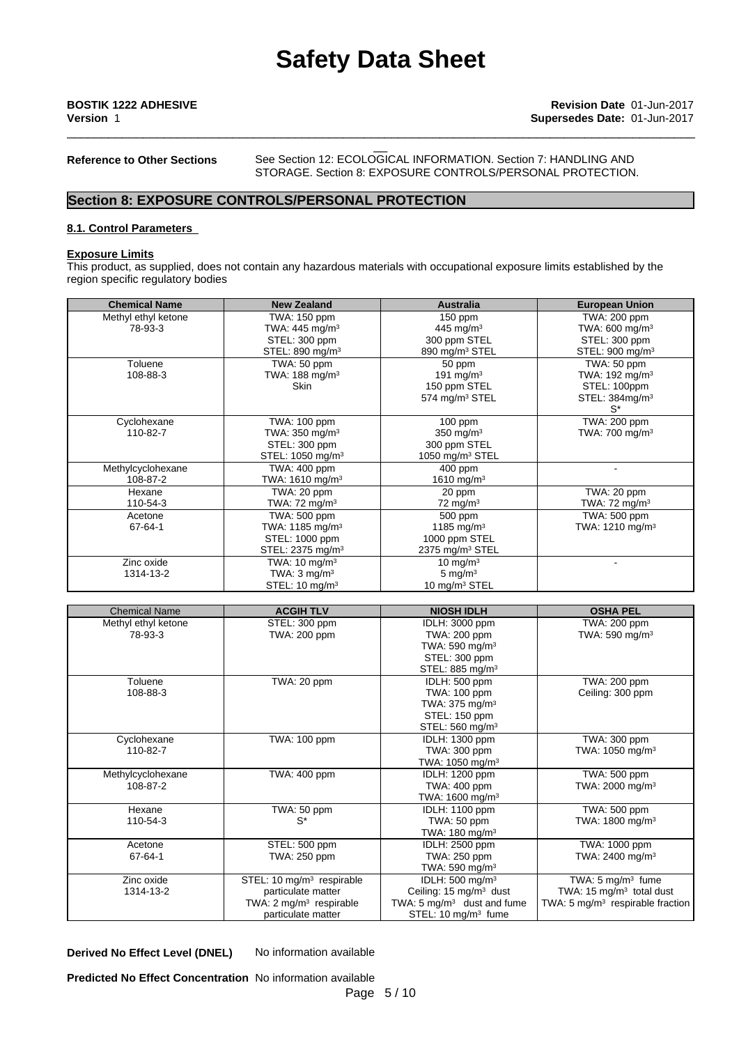**Reference to Other Sections** See Section 12:ECOLOGICAL INFORMATION. Section 7: HANDLING AND STORAGE. Section 8: EXPOSURE CONTROLS/PERSONAL PROTECTION.

\_\_\_\_\_\_\_\_\_\_\_\_\_\_\_\_\_\_\_\_\_\_\_\_\_\_\_\_\_\_\_\_\_\_\_\_\_\_\_\_\_\_\_\_\_\_\_\_\_\_\_\_\_\_\_\_\_\_\_\_\_\_\_\_\_\_\_\_\_\_\_\_\_\_\_\_\_\_\_\_\_\_\_\_\_\_\_\_\_\_\_

# **Section 8: EXPOSURE CONTROLS/PERSONAL PROTECTION**

### **8.1. Control Parameters**

### **Exposure Limits**

This product, as supplied, does not contain any hazardous materials with occupational exposure limits established by the region specific regulatory bodies

| <b>Chemical Name</b> | <b>New Zealand</b>           | <b>Australia</b>           | <b>European Union</b>       |
|----------------------|------------------------------|----------------------------|-----------------------------|
| Methyl ethyl ketone  | TWA: 150 ppm                 | $150$ ppm                  | TWA: 200 ppm                |
| 78-93-3              | TWA: 445 mg/m <sup>3</sup>   | 445 mg/m $3$               | TWA: $600 \text{ mg/m}^3$   |
|                      | STEL: 300 ppm                | 300 ppm STEL               | STEL: 300 ppm               |
|                      | STEL: 890 mg/m <sup>3</sup>  | 890 mg/m <sup>3</sup> STEL | STEL: 900 mg/m <sup>3</sup> |
| Toluene              | TWA: 50 ppm                  | 50 ppm                     | TWA: 50 ppm                 |
| 108-88-3             | TWA: 188 mg/m $3$            | 191 mg/m <sup>3</sup>      | TWA: $192 \text{ mg/m}^3$   |
|                      | <b>Skin</b>                  | 150 ppm STEL               | STEL: 100ppm                |
|                      |                              | 574 mg/m <sup>3</sup> STEL | STEL: 384mg/m <sup>3</sup>  |
|                      |                              |                            | $S^*$                       |
| Cyclohexane          | TWA: 100 ppm                 | $100$ ppm                  | TWA: 200 ppm                |
| 110-82-7             | TWA: $350 \text{ mg/m}^3$    | 350 mg/m $3$               | TWA: 700 mg/m $3$           |
|                      | STEL: 300 ppm                | 300 ppm STEL               |                             |
|                      | STEL: 1050 mg/m <sup>3</sup> | 1050 mg/m $3$ STEL         |                             |
| Methylcyclohexane    | TWA: 400 ppm                 | $400$ ppm                  |                             |
| 108-87-2             | TWA: 1610 mg/m $^3$          | 1610 mg/m $3$              |                             |
| Hexane               | TWA: 20 ppm                  | 20 ppm                     | TWA: 20 ppm                 |
| 110-54-3             | TWA: 72 mg/m $3$             | $72 \text{ mg/m}^3$        | TWA: $72 \text{ mg/m}^3$    |
| Acetone              | TWA: 500 ppm                 | 500 ppm                    | TWA: 500 ppm                |
| 67-64-1              | TWA: 1185 mg/m <sup>3</sup>  | 1185 mg/m <sup>3</sup>     | TWA: $1210 \text{ mg/m}^3$  |
|                      | STEL: 1000 ppm               | 1000 ppm STEL              |                             |
|                      | STEL: 2375 mg/m <sup>3</sup> | 2375 mg/m $3$ STEL         |                             |
| Zinc oxide           | TWA: $10 \text{ mg/m}^3$     | 10 mg/m $3$                |                             |
| 1314-13-2            | TWA: $3 \text{ mg/m}^3$      | 5 mg/ $m3$                 |                             |
|                      | STEL: 10 mg/m <sup>3</sup>   | 10 mg/m <sup>3</sup> STEL  |                             |

| <b>Chemical Name</b> | <b>ACGIH TLV</b>                      | <b>NIOSH IDLH</b>                     | <b>OSHA PEL</b>                              |
|----------------------|---------------------------------------|---------------------------------------|----------------------------------------------|
| Methyl ethyl ketone  | STEL: 300 ppm                         | IDLH: 3000 ppm                        | TWA: 200 ppm                                 |
| 78-93-3              | TWA: 200 ppm                          | TWA: 200 ppm                          | TWA: 590 mg/m <sup>3</sup>                   |
|                      |                                       | TWA: 590 mg/m $3$                     |                                              |
|                      |                                       | STEL: 300 ppm                         |                                              |
|                      |                                       | STEL: 885 mg/m <sup>3</sup>           |                                              |
| Toluene              | TWA: 20 ppm                           | IDLH: 500 ppm                         | TWA: 200 ppm                                 |
| 108-88-3             |                                       | TWA: 100 ppm                          | Ceiling: 300 ppm                             |
|                      |                                       | TWA: 375 mg/m <sup>3</sup>            |                                              |
|                      |                                       | STEL: 150 ppm                         |                                              |
|                      |                                       | STEL: 560 mg/m <sup>3</sup>           |                                              |
| Cyclohexane          | TWA: 100 ppm                          | <b>IDLH: 1300 ppm</b>                 | TWA: 300 ppm                                 |
| 110-82-7             |                                       | TWA: 300 ppm                          | TWA: 1050 mg/m <sup>3</sup>                  |
|                      |                                       | TWA: $1050$ mg/m <sup>3</sup>         |                                              |
| Methylcyclohexane    | TWA: 400 ppm                          | IDLH: 1200 ppm                        | TWA: 500 ppm                                 |
| 108-87-2             |                                       | TWA: 400 ppm                          | TWA: 2000 mg/m <sup>3</sup>                  |
|                      |                                       | TWA: $1600 \text{ mg/m}^3$            |                                              |
| Hexane               | TWA: 50 ppm                           | <b>IDLH: 1100 ppm</b>                 | TWA: 500 ppm                                 |
| 110-54-3             | S*                                    | TWA: 50 ppm                           | TWA: 1800 mg/m <sup>3</sup>                  |
|                      |                                       | TWA: $180 \text{ mg/m}^3$             |                                              |
| Acetone              | STEL: 500 ppm                         | IDLH: 2500 ppm                        | TWA: 1000 ppm                                |
| 67-64-1              | TWA: 250 ppm                          | TWA: 250 ppm                          | TWA: 2400 mg/m <sup>3</sup>                  |
|                      |                                       | TWA: 590 mg/m $3$                     |                                              |
| Zinc oxide           | STEL: 10 mg/m <sup>3</sup> respirable | IDLH: $500 \text{ mg/m}^3$            | TWA: $5 \text{ mg/m}^3$ fume                 |
| 1314-13-2            | particulate matter                    | Ceiling: 15 mg/m <sup>3</sup> dust    | TWA: 15 $mg/m3$ total dust                   |
|                      | TWA: $2 \text{ mg/m}^3$ respirable    | TWA: $5 \text{ mg/m}^3$ dust and fume | TWA: 5 mg/m <sup>3</sup> respirable fraction |
|                      | particulate matter                    | STEL: 10 mg/m <sup>3</sup> fume       |                                              |

**Derived No Effect Level (DNEL)** No information available

**Predicted No Effect Concentration** No information available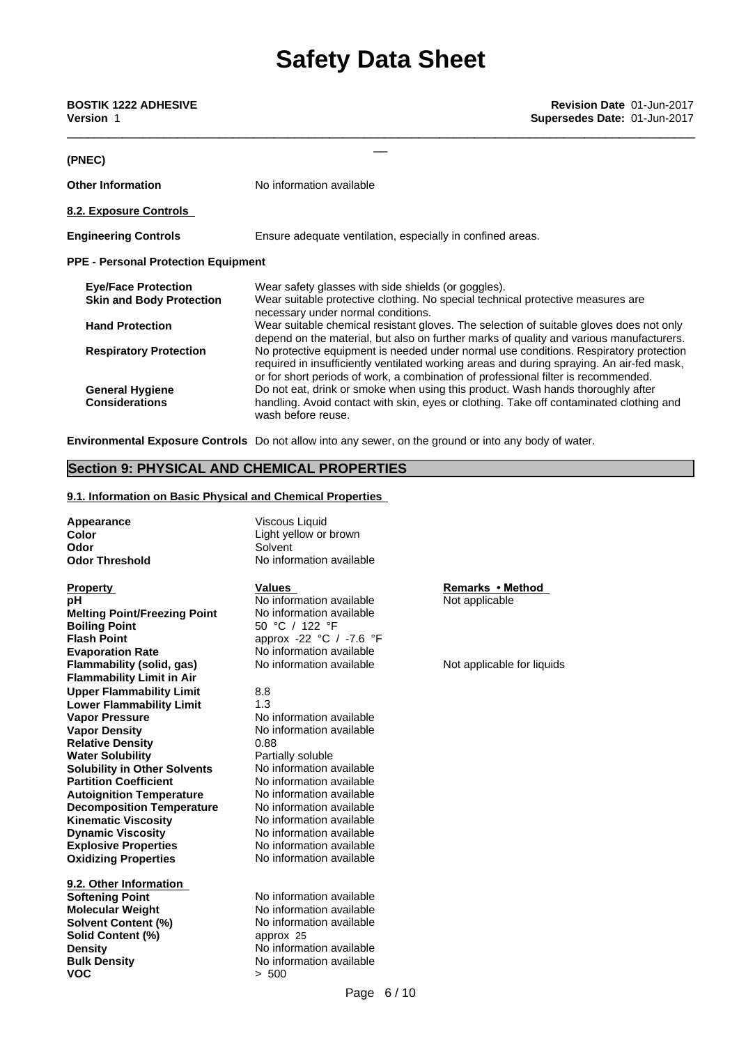| <b>BOSTIK 1222 ADHESIVE</b><br><b>Version 1</b> | Revision Date 01-Jun-2017<br>Supersedes Date: 01-Jun-2017                                                                                                                                                                                                                |
|-------------------------------------------------|--------------------------------------------------------------------------------------------------------------------------------------------------------------------------------------------------------------------------------------------------------------------------|
|                                                 |                                                                                                                                                                                                                                                                          |
| (PNEC)                                          |                                                                                                                                                                                                                                                                          |
| <b>Other Information</b>                        | No information available                                                                                                                                                                                                                                                 |
| 8.2. Exposure Controls                          |                                                                                                                                                                                                                                                                          |
| <b>Engineering Controls</b>                     | Ensure adequate ventilation, especially in confined areas.                                                                                                                                                                                                               |
| <b>PPE - Personal Protection Equipment</b>      |                                                                                                                                                                                                                                                                          |
| <b>Eye/Face Protection</b>                      | Wear safety glasses with side shields (or goggles).                                                                                                                                                                                                                      |
| <b>Skin and Body Protection</b>                 | Wear suitable protective clothing. No special technical protective measures are<br>necessary under normal conditions.                                                                                                                                                    |
| <b>Hand Protection</b>                          | Wear suitable chemical resistant gloves. The selection of suitable gloves does not only<br>depend on the material, but also on further marks of quality and various manufacturers.                                                                                       |
| <b>Respiratory Protection</b>                   | No protective equipment is needed under normal use conditions. Respiratory protection<br>required in insufficiently ventilated working areas and during spraying. An air-fed mask,<br>or for short periods of work, a combination of professional filter is recommended. |
| <b>General Hygiene</b><br><b>Considerations</b> | Do not eat, drink or smoke when using this product. Wash hands thoroughly after<br>handling. Avoid contact with skin, eyes or clothing. Take off contaminated clothing and<br>wash before reuse.                                                                         |
|                                                 |                                                                                                                                                                                                                                                                          |

**Environmental Exposure Controls** Do not allow into any sewer, on the ground or into any body of water.

# **Section 9: PHYSICAL AND CHEMICAL PROPERTIES**

### **9.1. Information on Basic Physical and Chemical Properties**

Appearance **Viscous Liquid Odor** Solvent

**Explosive Properties** No information available **Oxidizing Properties** No information available **Property Remarks** • Method **Values Remarks** • Method **pH** No information available Not applicable **Melting Point/Freezing Point** No information available **Boiling Point** 50 °C / 122 °F **Flash Point approx -22 °C** / -7.6 °F **Evaporation Rate No information available**<br> **Elammability (solid, gas)** No information available **Note applicable for liquids Flammability** (solid, gas) **Flammability Limit in Air Upper Flammability Limit** 8.8<br> **Lower Flammability Limit** 1.3 **Lower Flammability Limit Vapor Pressure** No information available **Vapor Density**<br> **Relative Density**<br>  $0.88$ <br> **Relative Density**<br>  $0.88$ **Relative Density** 0.88<br> **Water Solubility Density** Partially soluble **Water Solubility <b>Partially soluble**<br> **Solubility in Other Solvents** No information available **Solubility in Other Solvents<br>
<b>Partition Coefficient Autoignition Temperature Decomposition Temperature** No information available<br>**Kinematic Viscosity** No information available **Kinematic Viscosity<br>Dynamic Viscosity** 

**9.2. Other Information Softening Point**<br> **Molecular Weight** No information available<br>
No information available **Solvent Content (%)** No information available **Solid Content (%)** approx 25 **Density** No information available **Bulk Density** No information available **VOC** > 500

**Color Color** Light yellow or brown **Odor Threshold** No information available

No information available<br>No information available **No information available** 

**No information available**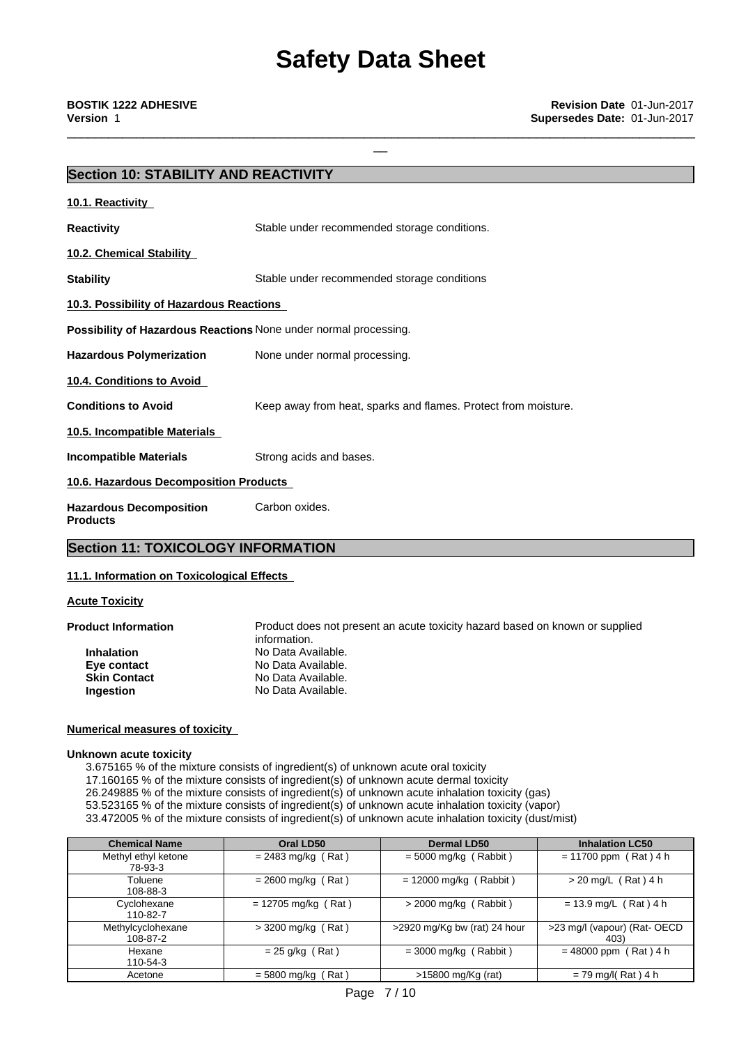# **Section 10: STABILITY AND REACTIVITY**

| 10.1. Reactivity                                                        |                                                                |
|-------------------------------------------------------------------------|----------------------------------------------------------------|
| <b>Reactivity</b>                                                       | Stable under recommended storage conditions.                   |
| <b>10.2. Chemical Stability</b>                                         |                                                                |
| <b>Stability</b>                                                        | Stable under recommended storage conditions                    |
| 10.3. Possibility of Hazardous Reactions                                |                                                                |
| <b>Possibility of Hazardous Reactions None under normal processing.</b> |                                                                |
| <b>Hazardous Polymerization</b>                                         | None under normal processing.                                  |
| 10.4. Conditions to Avoid                                               |                                                                |
| <b>Conditions to Avoid</b>                                              | Keep away from heat, sparks and flames. Protect from moisture. |
| 10.5. Incompatible Materials                                            |                                                                |
| <b>Incompatible Materials</b>                                           | Strong acids and bases.                                        |
| 10.6. Hazardous Decomposition Products                                  |                                                                |
| <b>Hazardous Decomposition</b><br><b>Products</b>                       | Carbon oxides.                                                 |

# **Section 11: TOXICOLOGY INFORMATION**

# **11.1. Information on Toxicological Effects**

### **Acute Toxicity**

**Product Information** Product does not present an acute toxicity hazard based on known or supplied information. **Inhalation** No Data Available. **Eye contact** No Data Available. **Skin Contact** No Data Available. **Ingestion** No Data Available.

### **Numerical measures of toxicity**

### **Unknown acute toxicity**

3.675165 % of the mixture consists of ingredient(s) of unknown acute oral toxicity

17.160165 % of the mixture consists of ingredient(s) of unknown acute dermal toxicity

26.249885 % of the mixture consists of ingredient(s) of unknown acute inhalation toxicity (gas)

53.523165 % of the mixture consists of ingredient(s) of unknown acute inhalation toxicity (vapor)

33.472005 % of the mixture consists of ingredient(s) of unknown acute inhalation toxicity (dust/mist)

| <b>Chemical Name</b>           | Oral LD50             | <b>Dermal LD50</b>           | <b>Inhalation LC50</b>               |
|--------------------------------|-----------------------|------------------------------|--------------------------------------|
| Methyl ethyl ketone<br>78-93-3 | $= 2483$ mg/kg (Rat)  | $= 5000$ mg/kg (Rabbit)      | $= 11700$ ppm (Rat) 4 h              |
| Toluene<br>108-88-3            | $= 2600$ mg/kg (Rat)  | $= 12000$ mg/kg (Rabbit)     | > 20 mg/L (Rat) 4 h                  |
| Cyclohexane<br>110-82-7        | $= 12705$ mg/kg (Rat) | $>$ 2000 mg/kg (Rabbit)      | $= 13.9$ mg/L (Rat) 4 h              |
| Methylcyclohexane<br>108-87-2  | $>$ 3200 mg/kg (Rat)  | >2920 mg/Kg bw (rat) 24 hour | >23 mg/l (vapour) (Rat- OECD<br>403) |
| Hexane<br>110-54-3             | $= 25$ g/kg (Rat)     | $=$ 3000 mg/kg (Rabbit)      | $= 48000$ ppm (Rat) 4 h              |
| Acetone                        | $= 5800$ mg/kg (Rat)  | $>15800$ mg/Kg (rat)         | $= 79$ mg/l(Rat) 4 h                 |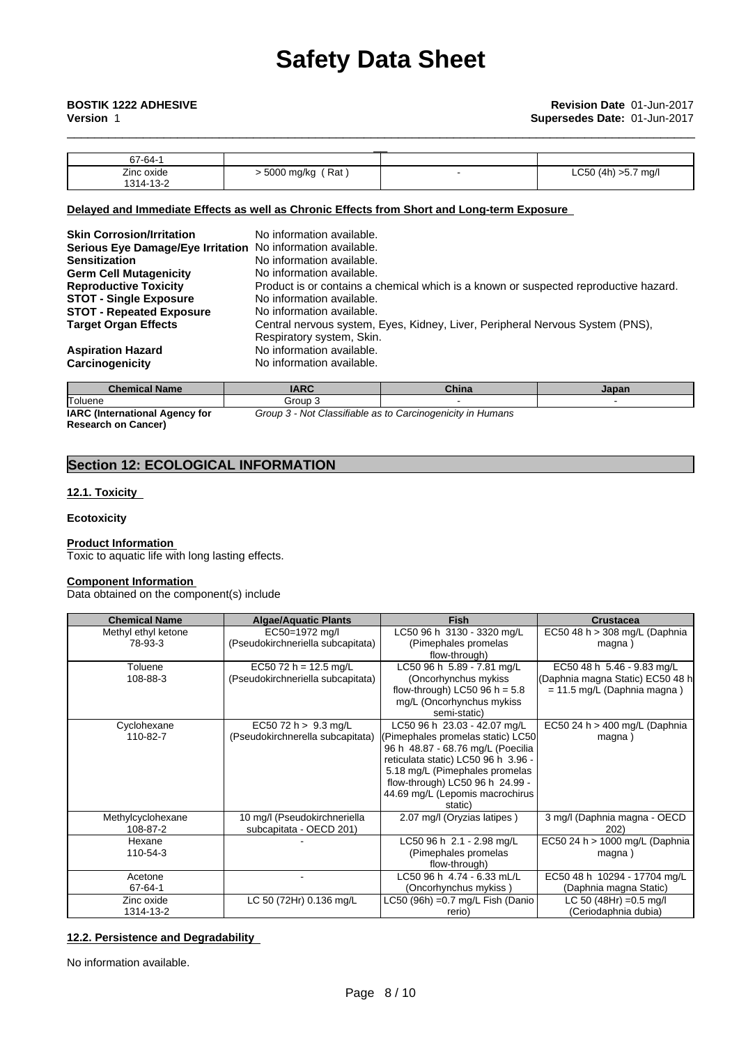| 67-64-1    |                     |                     |
|------------|---------------------|---------------------|
| Zinc oxide | ً Rat<br>5000 mg/kg | LC50 (4h) >5.7 mg/l |
| 1314-13-2  |                     |                     |

# **Delayed and Immediate Effects as well as Chronic Effects from Short and Long-term Exposure**

| <b>Skin Corrosion/Irritation</b><br>Serious Eye Damage/Eye Irritation No information available.<br><b>Sensitization</b><br><b>Germ Cell Mutagenicity</b><br><b>Reproductive Toxicity</b><br><b>STOT - Single Exposure</b><br><b>STOT - Repeated Exposure</b><br><b>Target Organ Effects</b> | No information available.<br>No information available.<br>No information available.<br>Product is or contains a chemical which is a known or suspected reproductive hazard.<br>No information available.<br>No information available.<br>Central nervous system, Eyes, Kidney, Liver, Peripheral Nervous System (PNS), |
|---------------------------------------------------------------------------------------------------------------------------------------------------------------------------------------------------------------------------------------------------------------------------------------------|------------------------------------------------------------------------------------------------------------------------------------------------------------------------------------------------------------------------------------------------------------------------------------------------------------------------|
| <b>Aspiration Hazard</b><br>Carcinogenicity                                                                                                                                                                                                                                                 | Respiratory system, Skin.<br>No information available.<br>No information available.                                                                                                                                                                                                                                    |

| <b>Chemical Name</b>                  | IARC    | China                                              | Japan |
|---------------------------------------|---------|----------------------------------------------------|-------|
| Toluene                               | Group 3 |                                                    |       |
| <b>IARC</b> (International Agency for | Group 3 | د Not Classifiable as to Carcinogenicity in Humans |       |

**IARC (International Agency for Research on Cancer)**

# **Section 12: ECOLOGICAL INFORMATION**

# **12.1. Toxicity**

### **Ecotoxicity**

# **Product Information**

Toxic to aquatic life with long lasting effects.

### **Component Information**

Data obtained on the component(s) include

| <b>Chemical Name</b> | <b>Algae/Aquatic Plants</b>       | <b>Fish</b>                         | <b>Crustacea</b>                  |
|----------------------|-----------------------------------|-------------------------------------|-----------------------------------|
| Methyl ethyl ketone  | EC50=1972 mg/l                    | LC50 96 h 3130 - 3320 mg/L          | EC50 48 h > 308 mg/L (Daphnia     |
| 78-93-3              | (Pseudokirchneriella subcapitata) | (Pimephales promelas                | magna)                            |
|                      |                                   | flow-through)                       |                                   |
| Toluene              | EC50 72 h = 12.5 mg/L             | LC50 96 h 5.89 - 7.81 mg/L          | EC50 48 h 5.46 - 9.83 mg/L        |
| 108-88-3             | (Pseudokirchneriella subcapitata) | (Oncorhynchus mykiss                | (Daphnia magna Static) EC50 48 h  |
|                      |                                   | flow-through) LC50 96 h = $5.8$     | $= 11.5$ mg/L (Daphnia magna)     |
|                      |                                   | mg/L (Oncorhynchus mykiss           |                                   |
|                      |                                   | semi-static)                        |                                   |
| Cyclohexane          | EC50 72 h > 9.3 mg/L              | LC50 96 h 23.03 - 42.07 mg/L        | EC50 24 h > 400 mg/L (Daphnia     |
| 110-82-7             | (Pseudokirchnerella subcapitata)  | (Pimephales promelas static) LC50   | magna)                            |
|                      |                                   | 96 h 48.87 - 68.76 mg/L (Poecilia   |                                   |
|                      |                                   | reticulata static) LC50 96 h 3.96 - |                                   |
|                      |                                   | 5.18 mg/L (Pimephales promelas      |                                   |
|                      |                                   | flow-through) LC50 96 h 24.99 -     |                                   |
|                      |                                   | 44.69 mg/L (Lepomis macrochirus     |                                   |
|                      |                                   | static)                             |                                   |
| Methylcyclohexane    | 10 mg/l (Pseudokirchneriella      | 2.07 mg/l (Oryzias latipes)         | 3 mg/l (Daphnia magna - OECD      |
| 108-87-2             | subcapitata - OECD 201)           |                                     | 202)                              |
| Hexane               |                                   | LC50 96 h 2.1 - 2.98 mg/L           | EC50 24 h > 1000 mg/L (Daphnia    |
| 110-54-3             |                                   | (Pimephales promelas                | magna)                            |
|                      |                                   | flow-through)                       |                                   |
| Acetone              |                                   | LC50 96 h 4.74 - 6.33 mL/L          | EC50 48 h 10294 - 17704 mg/L      |
| 67-64-1              |                                   | (Oncorhynchus mykiss)               | (Daphnia magna Static)            |
| Zinc oxide           | LC 50 (72Hr) 0.136 mg/L           | LC50 (96h) = $0.7$ mg/L Fish (Danio | LC 50 (48Hr) = $0.5 \text{ mg/l}$ |
| 1314-13-2            |                                   | rerio)                              | (Ceriodaphnia dubia)              |

# **12.2. Persistence and Degradability**

No information available.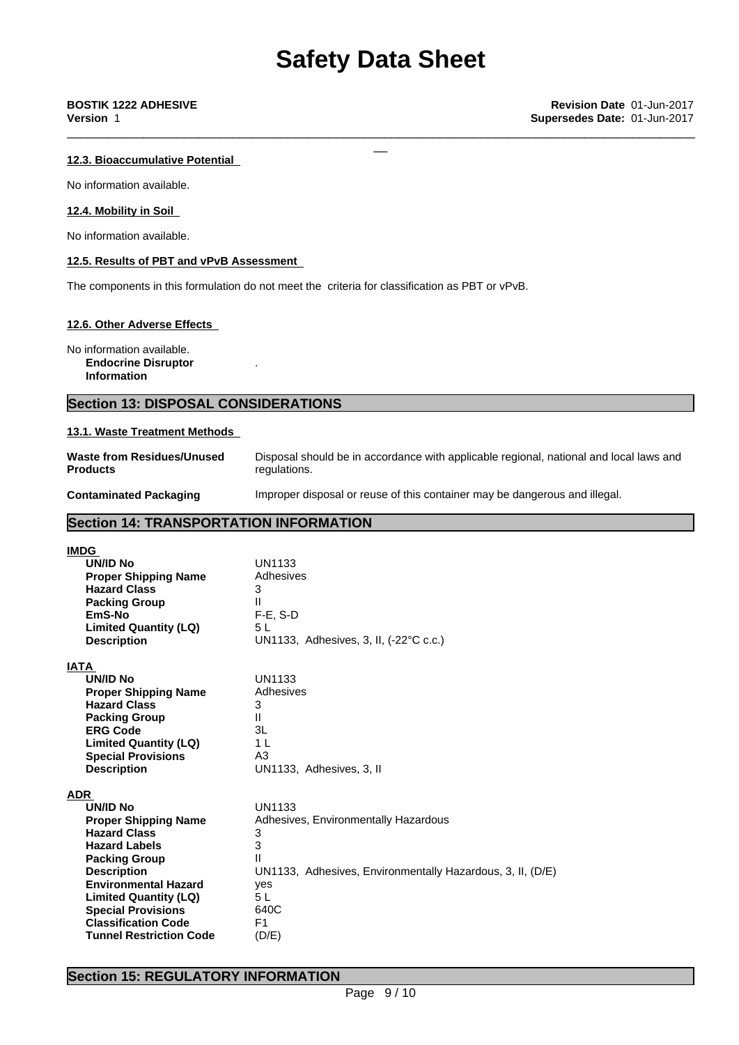### **12.3. Bioaccumulative Potential**

No information available.

### **12.4. Mobility in Soil**

No information available.

### **12.5. Results of PBT and vPvB Assessment**

The components in this formulation do not meet the criteria for classification as PBT or vPvB.

.

### **12.6. Other Adverse Effects**

No information available. **Endocrine Disruptor Information**

# **Section 13: DISPOSAL CONSIDERATIONS**

### **13.1. Waste Treatment Methods**

**Waste from Residues/Unused Products**

Disposal should be in accordance with applicable regional, national and local laws and regulations.

**Contaminated Packaging** Improper disposal or reuse of this container may be dangerous and illegal.

# **Section 14: TRANSPORTATION INFORMATION**

| <b>IMDG</b>                    |                                                            |
|--------------------------------|------------------------------------------------------------|
| <b>UN/ID No</b>                | UN1133                                                     |
| <b>Proper Shipping Name</b>    | Adhesives                                                  |
| <b>Hazard Class</b>            | 3                                                          |
| <b>Packing Group</b>           | Ш                                                          |
| EmS-No                         | $F-E$ , S-D                                                |
| <b>Limited Quantity (LQ)</b>   | 5 L                                                        |
| <b>Description</b>             | UN1133, Adhesives, 3, II, (-22°C c.c.)                     |
| <b>IATA</b>                    |                                                            |
| <b>UN/ID No</b>                | <b>UN1133</b>                                              |
| <b>Proper Shipping Name</b>    | Adhesives                                                  |
| <b>Hazard Class</b>            | 3                                                          |
| <b>Packing Group</b>           | Ш                                                          |
| <b>ERG Code</b>                | 3L                                                         |
| <b>Limited Quantity (LQ)</b>   | 1 L                                                        |
| <b>Special Provisions</b>      | A3                                                         |
| <b>Description</b>             | UN1133, Adhesives, 3, II                                   |
| <b>ADR</b>                     |                                                            |
| <b>UN/ID No</b>                | <b>UN1133</b>                                              |
| <b>Proper Shipping Name</b>    | Adhesives, Environmentally Hazardous                       |
| <b>Hazard Class</b>            | 3                                                          |
| <b>Hazard Labels</b>           | 3                                                          |
| <b>Packing Group</b>           | Ш                                                          |
| <b>Description</b>             | UN1133, Adhesives, Environmentally Hazardous, 3, II, (D/E) |
| <b>Environmental Hazard</b>    | yes                                                        |
| <b>Limited Quantity (LQ)</b>   | 5 L                                                        |
| <b>Special Provisions</b>      | 640C                                                       |
| <b>Classification Code</b>     | F1                                                         |
| <b>Tunnel Restriction Code</b> | (D/E)                                                      |